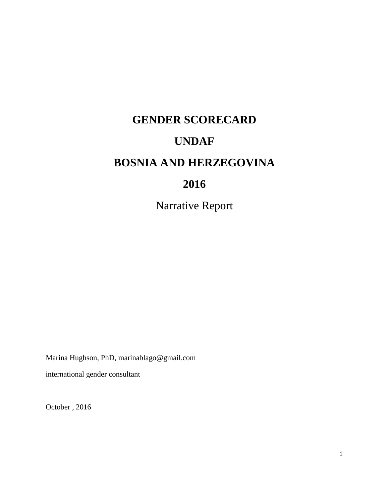# **GENDER SCORECARD UNDAF BOSNIA AND HERZEGOVINA 2016**

Narrative Report

Marina Hughson, PhD, marinablago@gmail.com international gender consultant

October , 2016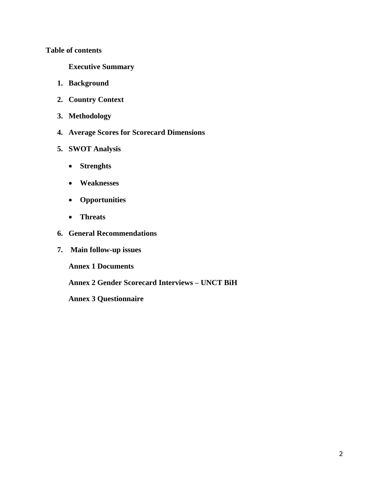### **Table of contents**

**Executive Summary**

- **1. Background**
- **2. Country Context**
- **3. Methodology**
- **4. Average Scores for Scorecard Dimensions**
- **5. SWOT Analysis**
	- **Strenghts**
	- **Weaknesses**
	- **Opportunities**
	- **Threats**
- **6. General Recommendations**
- **7. Main follow-up issues**

**Annex 1 Documents** 

**Annex 2 Gender Scorecard Interviews – UNCT BiH** 

**Annex 3 Questionnaire**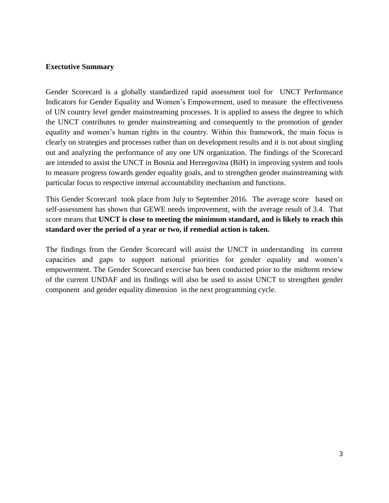#### **Exectutive Summary**

Gender Scorecard is a globally standardized rapid assessment tool for UNCT Performance Indicators for Gender Equality and Women's Empowerment, used to measure the effectiveness of UN country level gender mainstreaming processes. It is applied to assess the degree to which the UNCT contributes to gender mainstreaming and consequently to the promotion of gender equality and women's human rights in the country. Within this framework, the main focus is clearly on strategies and processes rather than on development results and it is not about singling out and analyzing the performance of any one UN organization. The findings of the Scorecard are intended to assist the UNCT in Bosnia and Herzegovina (BiH) in improving system and tools to measure progress towards gender equality goals, and to strengthen gender mainstreaming with particular focus to respective internal accountability mechanism and functions.

This Gender Scorecard took place from July to September 2016. The average score based on self-assessment has shown that GEWE needs improvement, with the average result of 3.4. That score means that **UNCT is close to meeting the minimum standard, and is likely to reach this standard over the period of a year or two, if remedial action is taken.** 

The findings from the Gender Scorecard will assist the UNCT in understanding its current capacities and gaps to support national priorities for gender equality and women's empowerment. The Gender Scorecard exercise has been conducted prior to the midterm review of the current UNDAF and its findings will also be used to assist UNCT to strengthen gender component and gender equality dimension in the next programming cycle.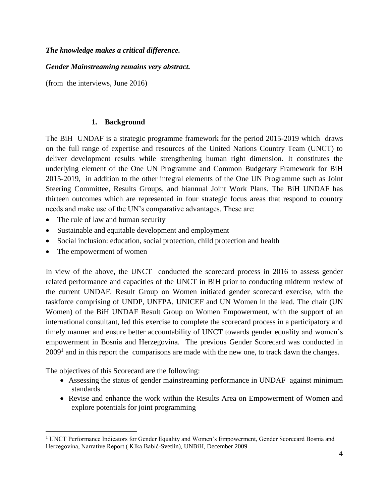#### *The knowledge makes a critical difference.*

### *Gender Mainstreaming remains very abstract.*

(from the interviews, June 2016)

#### **1. Background**

The BiH UNDAF is a strategic programme framework for the period 2015-2019 which draws on the full range of expertise and resources of the United Nations Country Team (UNCT) to deliver development results while strengthening human right dimension. It constitutes the underlying element of the One UN Programme and Common Budgetary Framework for BiH 2015-2019, in addition to the other integral elements of the One UN Programme such as Joint Steering Committee, Results Groups, and biannual Joint Work Plans. The BiH UNDAF has thirteen outcomes which are represented in four strategic focus areas that respond to country needs and make use of the UN's comparative advantages. These are:

- The rule of law and human security
- Sustainable and equitable development and employment
- Social inclusion: education, social protection, child protection and health
- The empowerment of women

j

In view of the above, the UNCT conducted the scorecard process in 2016 to assess gender related performance and capacities of the UNCT in BiH prior to conducting midterm review of the current UNDAF. Result Group on Women initiated gender scorecard exercise, with the taskforce comprising of UNDP, UNFPA, UNICEF and UN Women in the lead. The chair (UN Women) of the BiH UNDAF Result Group on Women Empowerment, with the support of an international consultant, led this exercise to complete the scorecard process in a participatory and timely manner and ensure better accountability of UNCT towards gender equality and women's empowerment in Bosnia and Herzegovina. The previous Gender Scorecard was conducted in  $2009<sup>1</sup>$  and in this report the comparisons are made with the new one, to track dawn the changes.

The objectives of this Scorecard are the following:

- Assessing the status of gender mainstreaming performance in UNDAF against minimum standards
- Revise and enhance the work within the Results Area on Empowerment of Women and explore potentials for joint programming

<sup>&</sup>lt;sup>1</sup> UNCT Performance Indicators for Gender Equality and Women's Empowerment, Gender Scorecard Bosnia and Herzegovina, Narrative Report ( KIka Babić-Svetlin), UNBiH, December 2009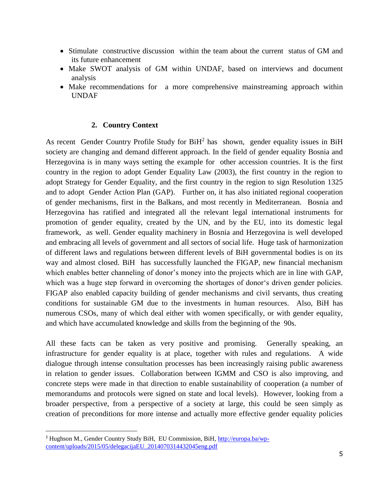- Stimulate constructive discussion within the team about the current status of GM and its future enhancement
- Make SWOT analysis of GM within UNDAF, based on interviews and document analysis
- Make recommendations for a more comprehensive mainstreaming approach within UNDAF

#### **2. Country Context**

As recent Gender Country Profile Study for  $BiH<sup>2</sup>$  has shown, gender equality issues in BiH society are changing and demand different approach. In the field of gender equality Bosnia and Herzegovina is in many ways setting the example for other accession countries. It is the first country in the region to adopt Gender Equality Law (2003), the first country in the region to adopt Strategy for Gender Equality, and the first country in the region to sign Resolution 1325 and to adopt Gender Action Plan (GAP). Further on, it has also initiated regional cooperation of gender mechanisms, first in the Balkans, and most recently in Mediterranean. Bosnia and Herzegovina has ratified and integrated all the relevant legal international instruments for promotion of gender equality, created by the UN, and by the EU, into its domestic legal framework, as well. Gender equality machinery in Bosnia and Herzegovina is well developed and embracing all levels of government and all sectors of social life. Huge task of harmonization of different laws and regulations between different levels of BiH governmental bodies is on its way and almost closed. BiH has successfully launched the FIGAP, new financial mechanism which enables better channeling of donor's money into the projects which are in line with GAP, which was a huge step forward in overcoming the shortages of donor's driven gender policies. FIGAP also enabled capacity building of gender mechanisms and civil servants, thus creating conditions for sustainable GM due to the investments in human resources. Also, BiH has numerous CSOs, many of which deal either with women specifically, or with gender equality, and which have accumulated knowledge and skills from the beginning of the 90s.

All these facts can be taken as very positive and promising. Generally speaking, an infrastructure for gender equality is at place, together with rules and regulations. A wide dialogue through intense consultation processes has been increasingly raising public awareness in relation to gender issues. Collaboration between IGMM and CSO is also improving, and concrete steps were made in that direction to enable sustainability of cooperation (a number of memorandums and protocols were signed on state and local levels). However, looking from a broader perspective, from a perspective of a society at large, this could be seen simply as creation of preconditions for more intense and actually more effective gender equality policies

j

<sup>&</sup>lt;sup>2</sup> Hughson M., Gender Country Study BiH, EU Commission, BiH, [http://europa.ba/wp](http://europa.ba/wp-content/uploads/2015/05/delegacijaEU_2014070314432045eng.pdf)[content/uploads/2015/05/delegacijaEU\\_2014070314432045eng.pdf](http://europa.ba/wp-content/uploads/2015/05/delegacijaEU_2014070314432045eng.pdf)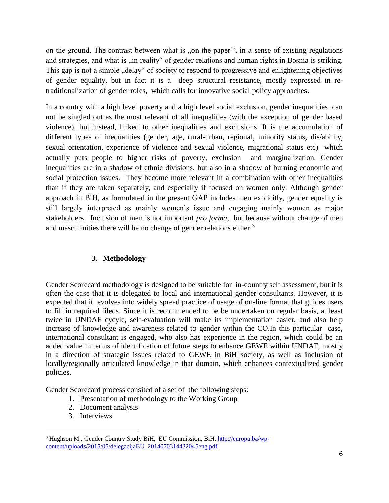on the ground. The contrast between what is , on the paper", in a sense of existing regulations and strategies, and what is "in reality" of gender relations and human rights in Bosnia is striking. This gap is not a simple "delay" of society to respond to progressive and enlightening objectives of gender equality, but in fact it is a deep structural resistance, mostly expressed in retraditionalization of gender roles, which calls for innovative social policy approaches.

In a country with a high level poverty and a high level social exclusion, gender inequalities can not be singled out as the most relevant of all inequalities (with the exception of gender based violence), but instead, linked to other inequalities and exclusions. It is the accumulation of different types of inequalities (gender, age, rural-urban, regional, minority status, dis/ability, sexual orientation, experience of violence and sexual violence, migrational status etc) which actually puts people to higher risks of poverty, exclusion and marginalization. Gender inequalities are in a shadow of ethnic divisions, but also in a shadow of burning economic and social protection issues. They become more relevant in a combination with other inequalities than if they are taken separately, and especially if focused on women only. Although gender approach in BiH, as formulated in the present GAP includes men explicitly, gender equality is still largely interpreted as mainly women's issue and engaging mainly women as major stakeholders. Inclusion of men is not important *pro forma*, but because without change of men and masculinities there will be no change of gender relations either. $3$ 

## **3. Methodology**

Gender Scorecard methodology is designed to be suitable for in-country self assessment, but it is often the case that it is delegated to local and international gender consultants. However, it is expected that it evolves into widely spread practice of usage of on-line format that guides users to fill in required fileds. Since it is recommended to be be undertaken on regular basis, at least twice in UNDAF cycyle, self-evaluation will make its implementation easier, and also help increase of knowledge and awareness related to gender within the CO.In this particular case, international consultant is engaged, who also has experience in the region, which could be an added value in terms of identification of future steps to enhance GEWE within UNDAF, mostly in a direction of strategic issues related to GEWE in BiH society, as well as inclusion of locally/regionally articulated knowledge in that domain, which enhances contextualized gender policies.

Gender Scorecard process consited of a set of the following steps:

- 1. Presentation of methodology to the Working Group
- 2. Document analysis
- 3. Interviews

j

<sup>&</sup>lt;sup>3</sup> Hughson M., Gender Country Study BiH, EU Commission, BiH, [http://europa.ba/wp](http://europa.ba/wp-content/uploads/2015/05/delegacijaEU_2014070314432045eng.pdf)[content/uploads/2015/05/delegacijaEU\\_2014070314432045eng.pdf](http://europa.ba/wp-content/uploads/2015/05/delegacijaEU_2014070314432045eng.pdf)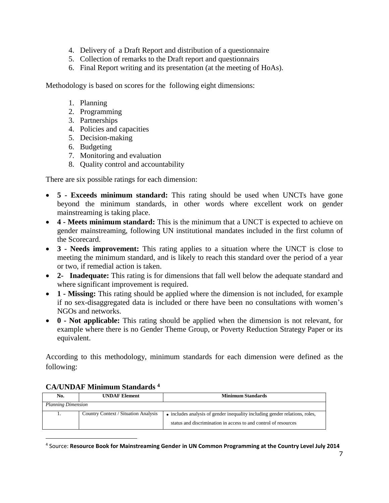- 4. Delivery of a Draft Report and distribution of a questionnaire
- 5. Collection of remarks to the Draft report and questionnairs
- 6. Final Report writing and its presentation (at the meeting of HoAs).

Methodology is based on scores for the following eight dimensions:

- 1. Planning
- 2. Programming
- 3. Partnerships
- 4. Policies and capacities
- 5. Decision-making
- 6. Budgeting
- 7. Monitoring and evaluation
- 8. Quality control and accountability

There are six possible ratings for each dimension:

- **5 - Exceeds minimum standard:** This rating should be used when UNCTs have gone beyond the minimum standards, in other words where excellent work on gender mainstreaming is taking place.
- **4 - Meets minimum standard:** This is the minimum that a UNCT is expected to achieve on gender mainstreaming, following UN institutional mandates included in the first column of the Scorecard.
- **3 - Needs improvement:** This rating applies to a situation where the UNCT is close to meeting the minimum standard, and is likely to reach this standard over the period of a year or two, if remedial action is taken.
- **2- Inadequate:** This rating is for dimensions that fall well below the adequate standard and where significant improvement is required.
- **1 - Missing:** This rating should be applied where the dimension is not included, for example if no sex-disaggregated data is included or there have been no consultations with women's NGOs and networks.
- **0 - Not applicable:** This rating should be applied when the dimension is not relevant, for example where there is no Gender Theme Group, or Poverty Reduction Strategy Paper or its equivalent.

According to this methodology, minimum standards for each dimension were defined as the following:

#### **CA/UNDAF Minimum Standards <sup>4</sup>**

-

| No.                       | <b>UNDAF</b> Element                 | <b>Minimum Standards</b>                                                    |
|---------------------------|--------------------------------------|-----------------------------------------------------------------------------|
| <b>Planning Dimension</b> |                                      |                                                                             |
|                           | Country Context / Situation Analysis | • includes analysis of gender inequality including gender relations, roles, |
|                           |                                      | status and discrimination in access to and control of resources             |

4 Source: **Resource Book for Mainstreaming Gender in UN Common Programming at the Country Level July 2014**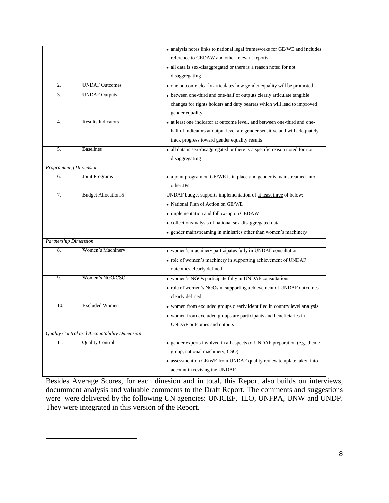|                              |                                              | • analysis notes links to national legal frameworks for GE/WE and includes    |  |
|------------------------------|----------------------------------------------|-------------------------------------------------------------------------------|--|
|                              |                                              | reference to CEDAW and other relevant reports                                 |  |
|                              |                                              | • all data is sex-disaggregated or there is a reason noted for not            |  |
|                              |                                              | disaggregating                                                                |  |
| 2.                           | <b>UNDAF</b> Outcomes                        | • one outcome clearly articulates how gender equality will be promoted        |  |
| $\overline{3}$ .             | <b>UNDAF Outputs</b>                         | • between one-third and one-half of outputs clearly articulate tangible       |  |
|                              |                                              | changes for rights holders and duty bearers which will lead to improved       |  |
|                              |                                              | gender equality                                                               |  |
| $\overline{4}$ .             | <b>Results Indicators</b>                    | • at least one indicator at outcome level, and between one-third and one-     |  |
|                              |                                              | half of indicators at output level are gender sensitive and will adequately   |  |
|                              |                                              | track progress toward gender equality results                                 |  |
| 5.                           | <b>Baselines</b>                             | • all data is sex-disaggregated or there is a specific reason noted for not   |  |
|                              |                                              | disaggregating                                                                |  |
| Programming Dimension        |                                              |                                                                               |  |
| 6.                           | Joint Programs                               | • a joint program on GE/WE is in place and gender is mainstreamed into        |  |
|                              |                                              | other JPs                                                                     |  |
| 7.                           | <b>Budget Allocations5</b>                   | UNDAF budget supports implementation of at least three of below:              |  |
|                              |                                              | • National Plan of Action on GE/WE                                            |  |
|                              |                                              | • implementation and follow-up on CEDAW                                       |  |
|                              |                                              | • collection/analysis of national sex-disaggregated data                      |  |
|                              |                                              | • gender mainstreaming in ministries other than women's machinery             |  |
| <b>Partnership Dimension</b> |                                              |                                                                               |  |
| 8.                           | Women's Machinery                            | • women's machinery participates fully in UNDAF consultation                  |  |
|                              |                                              | • role of women's machinery in supporting achievement of UNDAF                |  |
|                              |                                              | outcomes clearly defined                                                      |  |
| 9.                           | Women's NGO/CSO                              | • women's NGOs participate fully in UNDAF consultations                       |  |
|                              |                                              | • role of women's NGOs in supporting achievement of UNDAF outcomes            |  |
|                              |                                              | clearly defined                                                               |  |
| 10.                          | <b>Excluded Women</b>                        | • women from excluded groups clearly identified in country level analysis     |  |
|                              |                                              | • women from excluded groups are participants and beneficiaries in            |  |
|                              |                                              | UNDAF outcomes and outputs                                                    |  |
|                              | Quality Control and Accountability Dimension |                                                                               |  |
|                              |                                              |                                                                               |  |
| 11.                          | <b>Quality Control</b>                       | • gender experts involved in all aspects of UNDAF preparation (e.g. theme     |  |
|                              |                                              | group, national machinery, CSO)                                               |  |
|                              |                                              | $\bullet\,$ assessment on GE/WE from UNDAF quality review template taken into |  |

Besides Average Scores, for each dinesion and in total, this Report also builds on interviews, documment analysis and valuable comments to the Draft Report. The comments and suggestions were were delivered by the following UN agencies: UNICEF, ILO, UNFPA, UNW and UNDP. They were integrated in this version of the Report.

-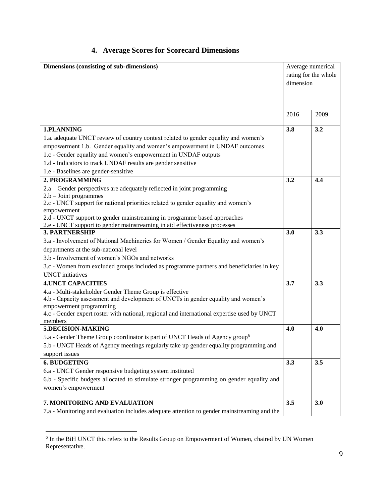# **4. Average Scores for Scorecard Dimensions**

| Dimensions (consisting of sub-dimensions)                                                                                                             | Average numerical |                      |
|-------------------------------------------------------------------------------------------------------------------------------------------------------|-------------------|----------------------|
|                                                                                                                                                       |                   | rating for the whole |
|                                                                                                                                                       | dimension         |                      |
|                                                                                                                                                       |                   |                      |
|                                                                                                                                                       |                   |                      |
|                                                                                                                                                       |                   |                      |
|                                                                                                                                                       | 2016              | 2009                 |
|                                                                                                                                                       |                   |                      |
| 1.PLANNING                                                                                                                                            | 3.8               | 3.2                  |
| 1.a. adequate UNCT review of country context related to gender equality and women's                                                                   |                   |                      |
| empowerment 1.b. Gender equality and women's empowerment in UNDAF outcomes                                                                            |                   |                      |
| 1.c - Gender equality and women's empowerment in UNDAF outputs                                                                                        |                   |                      |
| 1.d - Indicators to track UNDAF results are gender sensitive                                                                                          |                   |                      |
| 1.e - Baselines are gender-sensitive                                                                                                                  |                   |                      |
| 2. PROGRAMMING                                                                                                                                        | 3.2               | 4.4                  |
| 2.a - Gender perspectives are adequately reflected in joint programming                                                                               |                   |                      |
| $2.b - Joint programs$                                                                                                                                |                   |                      |
| 2.c - UNCT support for national priorities related to gender equality and women's                                                                     |                   |                      |
| empowerment                                                                                                                                           |                   |                      |
| 2.d - UNCT support to gender mainstreaming in programme based approaches<br>2.e - UNCT support to gender mainstreaming in aid effectiveness processes |                   |                      |
| <b>3. PARTNERSHIP</b>                                                                                                                                 | 3.0               | 3.3                  |
| 3.a - Involvement of National Machineries for Women / Gender Equality and women's                                                                     |                   |                      |
| departments at the sub-national level                                                                                                                 |                   |                      |
| 3.b - Involvement of women's NGOs and networks                                                                                                        |                   |                      |
| 3.c - Women from excluded groups included as programme partners and beneficiaries in key                                                              |                   |                      |
| <b>UNCT</b> initiatives                                                                                                                               |                   |                      |
| <b>4.UNCT CAPACITIES</b>                                                                                                                              | 3.7               | 3.3                  |
| 4.a - Multi-stakeholder Gender Theme Group is effective                                                                                               |                   |                      |
| 4.b - Capacity assessment and development of UNCTs in gender equality and women's                                                                     |                   |                      |
| empowerment programming                                                                                                                               |                   |                      |
| 4.c - Gender expert roster with national, regional and international expertise used by UNCT                                                           |                   |                      |
| members                                                                                                                                               |                   |                      |
| 5.DECISION-MAKING                                                                                                                                     | 4.0               | 4.0                  |
| 5.a - Gender Theme Group coordinator is part of UNCT Heads of Agency group <sup>6</sup>                                                               |                   |                      |
| 5.b - UNCT Heads of Agency meetings regularly take up gender equality programming and                                                                 |                   |                      |
| support issues                                                                                                                                        |                   |                      |
| <b>6. BUDGETING</b>                                                                                                                                   | 3.3               | 3.5                  |
| 6.a - UNCT Gender responsive budgeting system instituted                                                                                              |                   |                      |
| 6.b - Specific budgets allocated to stimulate stronger programming on gender equality and                                                             |                   |                      |
| women's empowerment                                                                                                                                   |                   |                      |
|                                                                                                                                                       |                   |                      |
| 7. MONITORING AND EVALUATION                                                                                                                          | 3.5               | 3.0                  |
| 7.a - Monitoring and evaluation includes adequate attention to gender mainstreaming and the                                                           |                   |                      |

 6 In the BiH UNCT this refers to the Results Group on Empowerment of Women, chaired by UN Women Representative.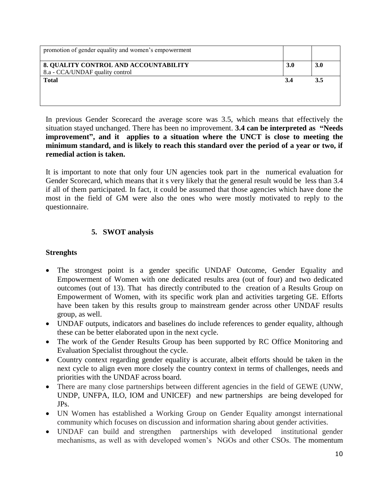| promotion of gender equality and women's empowerment                     |            |            |
|--------------------------------------------------------------------------|------------|------------|
| 8. QUALITY CONTROL AND ACCOUNTABILITY<br>8.a - CCA/UNDAF quality control | <b>3.0</b> | <b>3.0</b> |
| <b>Total</b>                                                             | 3.4        | 3.5        |
|                                                                          |            |            |

In previous Gender Scorecard the average score was 3.5, which means that effectively the situation stayed unchanged. There has been no improvement. **3.4 can be interpreted as "Needs improvement", and it applies to a situation where the UNCT is close to meeting the minimum standard, and is likely to reach this standard over the period of a year or two, if remedial action is taken.** 

It is important to note that only four UN agencies took part in the numerical evaluation for Gender Scorecard, which means that it s very likely that the general result would be less than 3.4 if all of them participated. In fact, it could be assumed that those agencies which have done the most in the field of GM were also the ones who were mostly motivated to reply to the questionnaire.

# **5. SWOT analysis**

## **Strenghts**

- The strongest point is a gender specific UNDAF Outcome, Gender Equality and Empowerment of Women with one dedicated results area (out of four) and two dedicated outcomes (out of 13). That has directly contributed to the creation of a Results Group on Empowerment of Women, with its specific work plan and activities targeting GE. Efforts have been taken by this results group to mainstream gender across other UNDAF results group, as well.
- UNDAF outputs, indicators and baselines do include references to gender equality, although these can be better elaborated upon in the next cycle.
- The work of the Gender Results Group has been supported by RC Office Monitoring and Evaluation Specialist throughout the cycle.
- Country context regarding gender equality is accurate, albeit efforts should be taken in the next cycle to align even more closely the country context in terms of challenges, needs and priorities with the UNDAF across board.
- There are many close partnerships between different agencies in the field of GEWE (UNW, UNDP, UNFPA, ILO, IOM and UNICEF) and new partnerships are being developed for JPs.
- UN Women has established a Working Group on Gender Equality amongst international community which focuses on discussion and information sharing about gender activities.
- UNDAF can build and strengthen partnerships with developed institutional gender mechanisms, as well as with developed women's NGOs and other CSOs. The momentum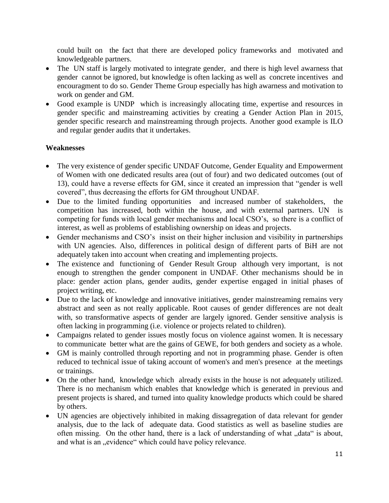could built on the fact that there are developed policy frameworks and motivated and knowledgeable partners.

- The UN staff is largely motivated to integrate gender, and there is high level awarness that gender cannot be ignored, but knowledge is often lacking as well as concrete incentives and encouragment to do so. Gender Theme Group especially has high awarness and motivation to work on gender and GM.
- Good example is UNDP which is increasingly allocating time, expertise and resources in gender specific and mainstreaming activities by creating a Gender Action Plan in 2015, gender specific research and mainstreaming through projects. Another good example is ILO and regular gender audits that it undertakes.

### **Weaknesses**

- The very existence of gender specific UNDAF Outcome, Gender Equality and Empowerment of Women with one dedicated results area (out of four) and two dedicated outcomes (out of 13), could have a reverse effects for GM, since it created an impression that "gender is well covered", thus decreasing the efforts for GM throughout UNDAF.
- Due to the limited funding opportunities and increased number of stakeholders, the competition has increased, both within the house, and with external partners. UN is competing for funds with local gender mechanisms and local CSO's, so there is a conflict of interest, as well as problems of establishing ownership on ideas and projects.
- Gender mechanisms and CSO's insist on their higher inclusion and visibility in partnerships with UN agencies. Also, differences in political design of different parts of BiH are not adequately taken into account when creating and implementing projects.
- The existence and functioning of Gender Result Group although very important, is not enough to strengthen the gender component in UNDAF. Other mechanisms should be in place: gender action plans, gender audits, gender expertise engaged in initial phases of project writing, etc.
- Due to the lack of knowledge and innovative initiatives, gender mainstreaming remains very abstract and seen as not really applicable. Root causes of gender differences are not dealt with, so transformative aspects of gender are largely ignored. Gender sensitive analysis is often lacking in programming (i.e. violence or projects related to children).
- Campaigns related to gender issues mostly focus on violence against women. It is necessary to communicate better what are the gains of GEWE, for both genders and society as a whole.
- GM is mainly controlled through reporting and not in programming phase. Gender is often reduced to technical issue of taking account of women's and men's presence at the meetings or trainings.
- On the other hand, knowledge which already exists in the house is not adequately utilized. There is no mechanism which enables that knowledge which is generated in previous and present projects is shared, and turned into quality knowledge products which could be shared by others.
- UN agencies are objectively inhibited in making dissagregation of data relevant for gender analysis, due to the lack of adequate data. Good statistics as well as baseline studies are often missing. On the other hand, there is a lack of understanding of what "data" is about, and what is an "evidence" which could have policy relevance.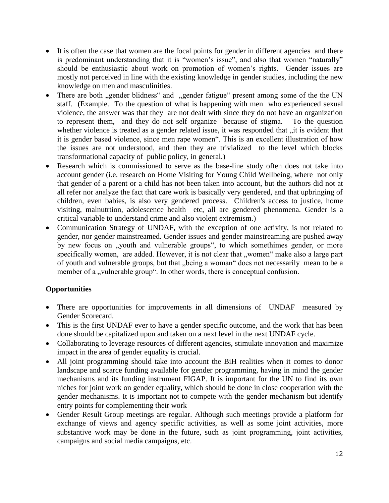- It is often the case that women are the focal points for gender in different agencies and there is predominant understanding that it is "women's issue", and also that women "naturally" should be enthusiastic about work on promotion of women's rights. Gender issues are mostly not perceived in line with the existing knowledge in gender studies, including the new knowledge on men and masculinities.
- There are both "gender blidness" and "gender fatigue" present among some of the the UN staff. (Example. To the question of what is happening with men who experienced sexual violence, the answer was that they are not dealt with since they do not have an organization to represent them, and they do not self organize because of stigma. To the question whether violence is treated as a gender related issue, it was responded that "it is evident that" it is gender based violence, since men rape women". This is an excellent illustration of how the issues are not understood, and then they are trivialized to the level which blocks transformational capacity of public policy, in general.)
- Research which is commissioned to serve as the base-line study often does not take into account gender (i.e. research on Home Visiting for Young Child Wellbeing, where not only that gender of a parent or a child has not been taken into account, but the authors did not at all refer nor analyze the fact that care work is basically very gendered, and that upbringing of children, even babies, is also very gendered process. Children's access to justice, home visiting, malnutrtion, adolescence health etc, all are gendered phenomena. Gender is a critical variable to understand crime and also violent extremism.)
- Communication Strategy of UNDAF, with the exception of one activity, is not related to gender, nor gender mainstreamed. Gender issues and gender mainstreaming are pushed away by new focus on "youth and vulnerable groups", to which somethimes gender, or more specifically women, are added. However, it is not clear that "women" make also a large part of youth and vulnerable groups, but that "being a woman" does not necessarily mean to be a member of a "vulnerable group". In other words, there is conceptual confusion.

# **Opportunities**

- There are opportunities for improvements in all dimensions of UNDAF measured by Gender Scorecard.
- This is the first UNDAF ever to have a gender specific outcome, and the work that has been done should be capitalized upon and taken on a next level in the next UNDAF cycle.
- Collaborating to leverage resources of different agencies, stimulate innovation and maximize impact in the area of gender equality is crucial.
- All joint programming should take into account the BiH realities when it comes to donor landscape and scarce funding available for gender programming, having in mind the gender mechanisms and its funding instrument FIGAP. It is important for the UN to find its own niches for joint work on gender equality, which should be done in close cooperation with the gender mechanisms. It is important not to compete with the gender mechanism but identify entry points for complementing their work
- Gender Result Group meetings are regular. Although such meetings provide a platform for exchange of views and agency specific activities, as well as some joint activities, more substantive work may be done in the future, such as joint programming, joint activities, campaigns and social media campaigns, etc.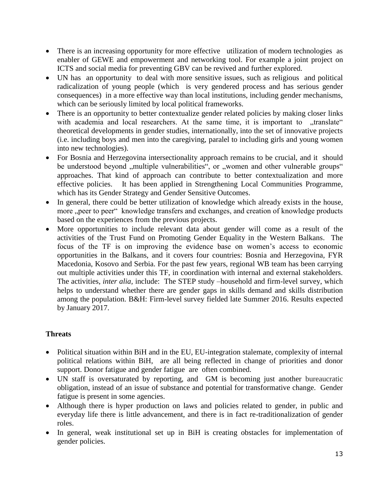- There is an increasing opportunity for more effective utilization of modern technologies as enabler of GEWE and empowerment and networking tool. For example a joint project on ICTS and social media for preventing GBV can be revived and further explored.
- UN has an opportunity to deal with more sensitive issues, such as religious and political radicalization of young people (which is very gendered process and has serious gender consequences) in a more effective way than local institutions, including gender mechanisms, which can be seriously limited by local political frameworks.
- There is an opportunity to better contextualize gender related policies by making closer links with academia and local researchers. At the same time, it is important to "translate" theoretical developments in gender studies, internationally, into the set of innovative projects (i.e. including boys and men into the caregiving, paralel to including girls and young women into new technologies).
- For Bosnia and Herzegovina intersectionality approach remains to be crucial, and it should be understood beyond "multiple vulnerabilities", or "women and other vulnerable groups" approaches. That kind of approach can contribute to better contextualization and more effective policies. It has been applied in Strengthening Local Communities Programme, which has its Gender Strategy and Gender Sensitive Outcomes.
- In general, there could be better utilization of knowledge which already exists in the house, more "peer to peer" knowledge transfers and exchanges, and creation of knowledge products based on the experiences from the previous projects.
- More opportunities to include relevant data about gender will come as a result of the activities of the Trust Fund on Promoting Gender Equality in the Western Balkans. The focus of the TF is on improving the evidence base on women's access to economic opportunities in the Balkans, and it covers four countries: Bosnia and Herzegovina, FYR Macedonia, Kosovo and Serbia. For the past few years, regional WB team has been carrying out multiple activities under this TF, in coordination with internal and external stakeholders. The activities, *inter alia,* include: The STEP study –household and firm-level survey, which helps to understand whether there are gender gaps in skills demand and skills distribution among the population. B&H: Firm-level survey fielded late Summer 2016. Results expected by January 2017.

# **Threats**

- Political situation within BiH and in the EU, EU-integration stalemate, complexity of internal political relations within BiH, are all being reflected in change of priorities and donor support. Donor fatigue and gender fatigue are often combined.
- UN staff is oversaturated by reporting, and GM is becoming just another bureaucratic obligation, instead of an issue of substance and potential for transformative change. Gender fatigue is present in some agencies.
- Although there is hyper production on laws and policies related to gender, in public and everyday life there is little advancement, and there is in fact re-traditionalization of gender roles.
- In general, weak institutional set up in BiH is creating obstacles for implementation of gender policies.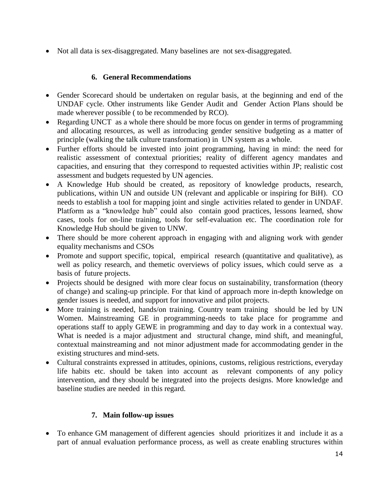• Not all data is sex-disaggregated. Many baselines are not sex-disaggregated.

# **6. General Recommendations**

- Gender Scorecard should be undertaken on regular basis, at the beginning and end of the UNDAF cycle. Other instruments like Gender Audit and Gender Action Plans should be made wherever possible ( to be recommended by RCO).
- Regarding UNCT as a whole there should be more focus on gender in terms of programming and allocating resources, as well as introducing gender sensitive budgeting as a matter of principle (walking the talk culture transformation) in UN system as a whole.
- Further efforts should be invested into joint programming, having in mind: the need for realistic assessment of contextual priorities; reality of different agency mandates and capacities, and ensuring that they correspond to requested activities within JP; realistic cost assessment and budgets requested by UN agencies.
- A Knowledge Hub should be created, as repository of knowledge products, research, publications, within UN and outside UN (relevant and applicable or inspiring for BiH). CO needs to establish a tool for mapping joint and single activities related to gender in UNDAF. Platform as a "knowledge hub" could also contain good practices, lessons learned, show cases, tools for on-line training, tools for self-evaluation etc. The coordination role for Knowledge Hub should be given to UNW.
- There should be more coherent approach in engaging with and aligning work with gender equality mechanisms and CSOs
- Promote and support specific, topical, empirical research (quantitative and qualitative), as well as policy research, and themetic overviews of policy issues, which could serve as a basis of future projects.
- Projects should be designed with more clear focus on sustainability, transformation (theory of change) and scaling-up principle. For that kind of approach more in-depth knowledge on gender issues is needed, and support for innovative and pilot projects.
- More training is needed, hands/on training. Country team training should be led by UN Women. Mainstreaming GE in programming-needs to take place for programme and operations staff to apply GEWE in programming and day to day work in a contextual way. What is needed is a major adjustment and structural change, mind shift, and meaningful, contextual mainstreaming and not minor adjustment made for accommodating gender in the existing structures and mind-sets.
- Cultural constraints expressed in attitudes, opinions, customs, religious restrictions, everyday life habits etc. should be taken into account as relevant components of any policy intervention, and they should be integrated into the projects designs. More knowledge and baseline studies are needed in this regard.

## **7. Main follow-up issues**

• To enhance GM management of different agencies should prioritizes it and include it as a part of annual evaluation performance process, as well as create enabling structures within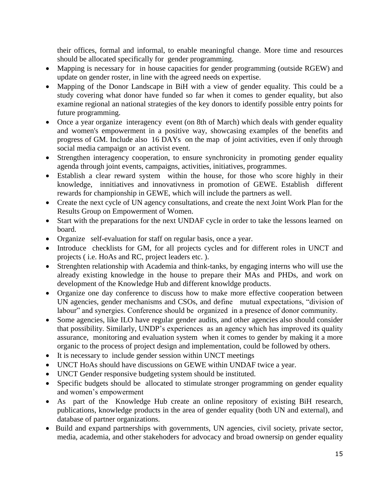their offices, formal and informal, to enable meaningful change. More time and resources should be allocated specifically for gender programming.

- Mapping is necessary for in house capacities for gender programming (outside RGEW) and update on gender roster, in line with the agreed needs on expertise.
- Mapping of the Donor Landscape in BiH with a view of gender equality. This could be a study covering what donor have funded so far when it comes to gender equality, but also examine regional an national strategies of the key donors to identify possible entry points for future programming.
- Once a year organize interagency event (on 8th of March) which deals with gender equality and women's empowerment in a positive way, showcasing examples of the benefits and progress of GM. Include also 16 DAYs on the map of joint activities, even if only through social media campaign or an activist event.
- Strengthen interagency cooperation, to ensure synchronicity in promoting gender equality agenda through joint events, campaigns, activities, initiatives, programmes.
- Establish a clear reward system within the house, for those who score highly in their knowledge, innitiatives and innovativness in promotion of GEWE. Establish different rewards for championship in GEWE, which will include the partners as well.
- Create the next cycle of UN agency consultations, and create the next Joint Work Plan for the Results Group on Empowerment of Women.
- Start with the preparations for the next UNDAF cycle in order to take the lessons learned on board.
- Organize self-evaluation for staff on regular basis, once a year.
- Introduce checklists for GM, for all projects cycles and for different roles in UNCT and projects ( i.e. HoAs and RC, project leaders etc. ).
- Strenghten relationship with Academia and think-tanks, by engaging interns who will use the already existing knowledge in the house to prepare their MAs and PHDs, and work on development of the Knowledge Hub and different knowldge products.
- Organize one day conference to discuss how to make more effective cooperation between UN agencies, gender mechanisms and CSOs, and define mutual expectations, "division of labour" and synergies. Conference should be organized in a presence of donor community.
- Some agencies, like ILO have regular gender audits, and other agencies also should consider that possibility. Similarly, UNDP's experiences as an agency which has improved its quality assurance, monitoring and evaluation system when it comes to gender by making it a more organic to the process of project design and implementation, could be followed by others.
- It is necessary to include gender session within UNCT meetings
- UNCT HoAs should have discussions on GEWE within UNDAF twice a year.
- UNCT Gender responsive budgeting system should be instituted.
- Specific budgets should be allocated to stimulate stronger programming on gender equality and women's empowerment
- As part of the Knowledge Hub create an online repository of existing BiH research, publications, knowledge products in the area of gender equality (both UN and external), and database of partner organizations.
- Build and expand partnerships with governments, UN agencies, civil society, private sector, media, academia, and other stakehoders for advocacy and broad ownersip on gender equality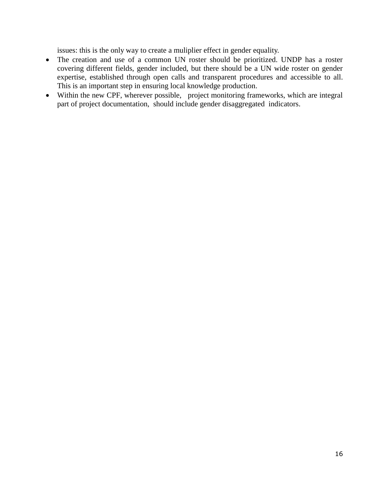issues: this is the only way to create a muliplier effect in gender equality.

- The creation and use of a common UN roster should be prioritized. UNDP has a roster covering different fields, gender included, but there should be a UN wide roster on gender expertise, established through open calls and transparent procedures and accessible to all. This is an important step in ensuring local knowledge production.
- Within the new CPF, wherever possible, project monitoring frameworks, which are integral part of project documentation, should include gender disaggregated indicators.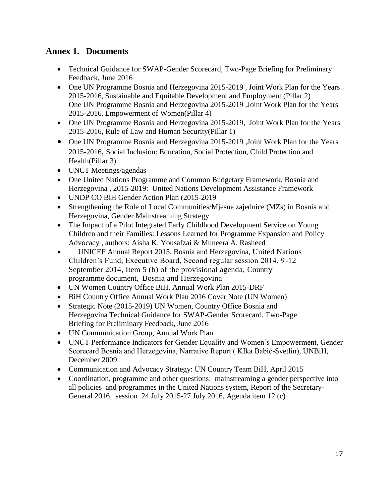# **Annex 1. Documents**

- Technical Guidance for SWAP-Gender Scorecard, Two-Page Briefing for Preliminary Feedback, June 2016
- One UN Programme Bosnia and Herzegovina 2015-2019, Joint Work Plan for the Years 2015-2016, Sustainable and Equitable Development and Employment (Pillar 2) One UN Programme Bosnia and Herzegovina 2015-2019 ,Joint Work Plan for the Years 2015-2016, Empowerment of Women(Pillar 4)
- One UN Programme Bosnia and Herzegovina 2015-2019, Joint Work Plan for the Years 2015-2016, Rule of Law and Human Security(Pillar 1)
- One UN Programme Bosnia and Herzegovina 2015-2019 , Joint Work Plan for the Years 2015-2016, Social Inclusion: Education, Social Protection, Child Protection and Health(Pillar 3)
- UNCT Meetings/agendas
- One United Nations Programme and Common Budgetary Framework, Bosnia and Herzegovina , 2015-2019: United Nations Development Assistance Framework
- UNDP CO BiH Gender Action Plan (2015-2019)
- Strengthening the Role of Local Communities/Mjesne zajednice (MZs) in Bosnia and Herzegovina, Gender Mainstreaming Strategy
- The Impact of a Pilot Integrated Early Childhood Development Service on Young Children and their Families: Lessons Learned for Programme Expansion and Policy Advocacy , authors: Aisha K. Yousafzai & Muneera A. Rasheed
- UNICEF Annual Report 2015, Bosnia and Herzegovina, United Nations Children's Fund, Executive Board, Second regular session 2014, 9-12 September 2014, Item 5 (b) of the provisional agenda, Country programme document, Bosnia and Herzegovina
- UN Women Country Office BiH, Annual Work Plan 2015-DRF
- BiH Country Office Annual Work Plan 2016 Cover Note (UN Women)
- Strategic Note (2015-2019) UN Women, Country Office Bosnia and Herzegovina Technical Guidance for SWAP-Gender Scorecard, Two-Page Briefing for Preliminary Feedback, June 2016
- UN Communication Group, Annual Work Plan
- UNCT Performance Indicators for Gender Equality and Women's Empowerment, Gender Scorecard Bosnia and Herzegovina, Narrative Report ( KIka Babić-Svetlin), UNBiH, December 2009
- Communication and Advocacy Strategy: UN Country Team BiH, April 2015
- Coordination, programme and other questions: mainstreaming a gender perspective into all policies and programmes in the United Nations system, Report of the Secretary-General 2016, session 24 July 2015-27 July 2016, Agenda item 12 (c)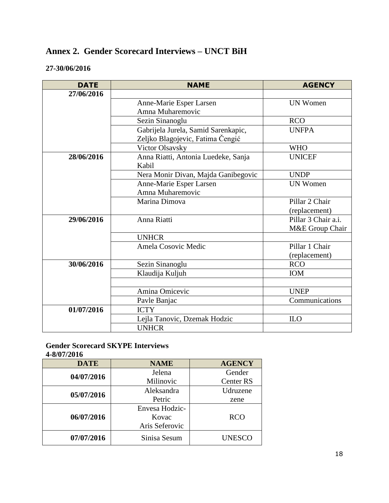# **Annex 2. Gender Scorecard Interviews – UNCT BiH**

# **27-30/06/2016**

| <b>DATE</b> | <b>NAME</b>                         | <b>AGENCY</b>       |
|-------------|-------------------------------------|---------------------|
| 27/06/2016  |                                     |                     |
|             | Anne-Marie Esper Larsen             | <b>UN Women</b>     |
|             | Amna Muharemovic                    |                     |
|             | Sezin Sinanoglu                     | <b>RCO</b>          |
|             | Gabrijela Jurela, Samid Sarenkapic, | <b>UNFPA</b>        |
|             | Zeljko Blagojevic, Fatima Čengić    |                     |
|             | Victor Olsavsky                     | <b>WHO</b>          |
| 28/06/2016  | Anna Riatti, Antonia Luedeke, Sanja | <b>UNICEF</b>       |
|             | Kabil                               |                     |
|             | Nera Monir Divan, Majda Ganibegovic | <b>UNDP</b>         |
|             | Anne-Marie Esper Larsen             | <b>UN Women</b>     |
|             | Amna Muharemovic                    |                     |
|             | Marina Dimova                       | Pillar 2 Chair      |
|             |                                     | (replacement)       |
| 29/06/2016  | Anna Riatti                         | Pillar 3 Chair a.i. |
|             |                                     | M&E Group Chair     |
|             | <b>UNHCR</b>                        |                     |
|             | Amela Cosovic Medic                 | Pillar 1 Chair      |
|             |                                     | (replacement)       |
| 30/06/2016  | Sezin Sinanoglu                     | <b>RCO</b>          |
|             | Klaudija Kuljuh                     | <b>IOM</b>          |
|             |                                     |                     |
|             | Amina Omicevic                      | <b>UNEP</b>         |
|             | Pavle Banjac                        | Communications      |
| 01/07/2016  | <b>ICTY</b>                         |                     |
|             | Lejla Tanovic, Dzemak Hodzic        | <b>ILO</b>          |
|             | <b>UNHCR</b>                        |                     |

### **Gender Scorecard SKYPE Interviews 4-8/07/2016**

| <b>DATE</b> | <b>NAME</b>    | <b>AGENCY</b>    |
|-------------|----------------|------------------|
| 04/07/2016  | Jelena         | Gender           |
|             | Milinovic      | <b>Center RS</b> |
| 05/07/2016  | Aleksandra     | Udruzene         |
|             | Petric         | zene             |
|             | Envesa Hodzic- |                  |
| 06/07/2016  | Kovac          | <b>RCO</b>       |
|             | Aris Seferovic |                  |
| 07/07/2016  | Sinisa Sesum   | <b>UNESCO</b>    |